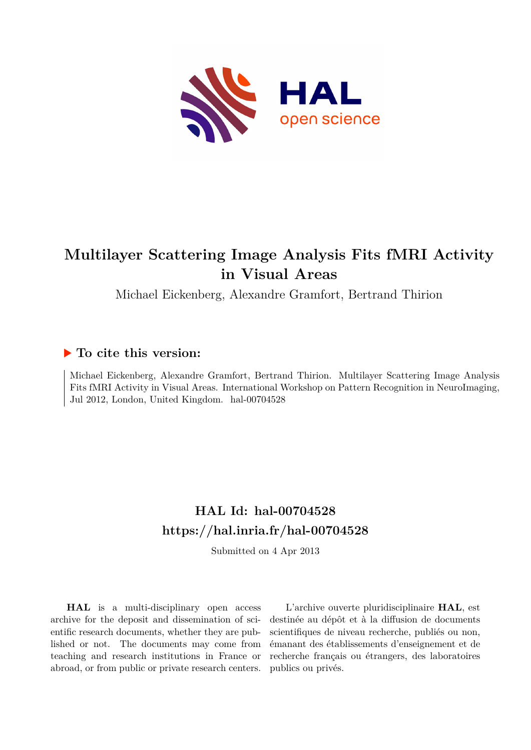

# **Multilayer Scattering Image Analysis Fits fMRI Activity in Visual Areas**

Michael Eickenberg, Alexandre Gramfort, Bertrand Thirion

## **To cite this version:**

Michael Eickenberg, Alexandre Gramfort, Bertrand Thirion. Multilayer Scattering Image Analysis Fits fMRI Activity in Visual Areas. International Workshop on Pattern Recognition in NeuroImaging, Jul 2012, London, United Kingdom. hal-00704528

# **HAL Id: hal-00704528 <https://hal.inria.fr/hal-00704528>**

Submitted on 4 Apr 2013

**HAL** is a multi-disciplinary open access archive for the deposit and dissemination of scientific research documents, whether they are published or not. The documents may come from teaching and research institutions in France or abroad, or from public or private research centers.

L'archive ouverte pluridisciplinaire **HAL**, est destinée au dépôt et à la diffusion de documents scientifiques de niveau recherche, publiés ou non, émanant des établissements d'enseignement et de recherche français ou étrangers, des laboratoires publics ou privés.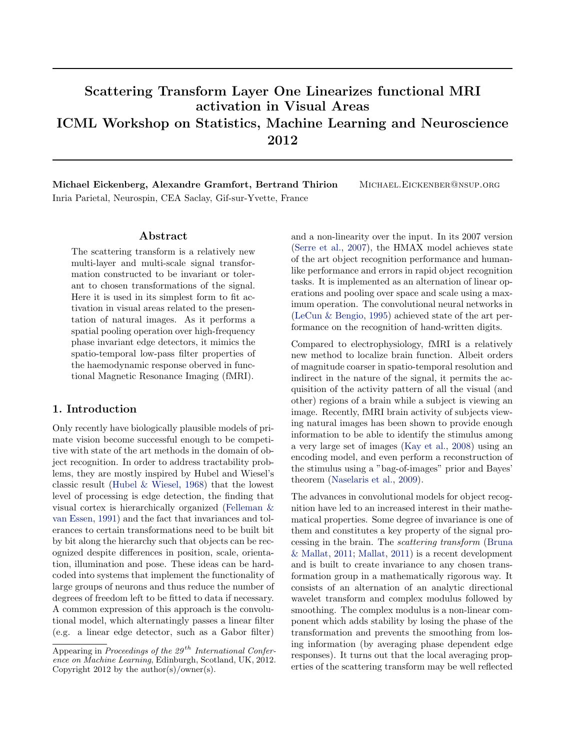# Scattering Transform Layer One Linearizes functional MRI activation in Visual Areas ICML Workshop on Statistics, Machine Learning and Neuroscience 2012

Michael Eickenberg, Alexandre Gramfort, Bertrand Thirion Michael.Eickenber@nsup.org Inria Parietal, Neurospin, CEA Saclay, Gif-sur-Yvette, France

#### Abstract

The scattering transform is a relatively new multi-layer and multi-scale signal transformation constructed to be invariant or tolerant to chosen transformations of the signal. Here it is used in its simplest form to fit activation in visual areas related to the presentation of natural images. As it performs a spatial pooling operation over high-frequency phase invariant edge detectors, it mimics the spatio-temporal low-pass filter properties of the haemodynamic response oberved in functional Magnetic Resonance Imaging (fMRI).

#### 1. Introduction

Only recently have biologically plausible models of primate vision become successful enough to be competitive with state of the art methods in the domain of object recognition. In order to address tractability problems, they are mostly inspired by Hubel and Wiesel's classic result [\(Hubel & Wiesel,](#page-4-0) [1968\)](#page-4-0) that the lowest level of processing is edge detection, the finding that visual cortex is hierarchically organized [\(Felleman &](#page-4-0) [van Essen,](#page-4-0) [1991\)](#page-4-0) and the fact that invariances and tolerances to certain transformations need to be built bit by bit along the hierarchy such that objects can be recognized despite differences in position, scale, orientation, illumination and pose. These ideas can be hardcoded into systems that implement the functionality of large groups of neurons and thus reduce the number of degrees of freedom left to be fitted to data if necessary. A common expression of this approach is the convolutional model, which alternatingly passes a linear filter (e.g. a linear edge detector, such as a Gabor filter)

and a non-linearity over the input. In its 2007 version [\(Serre et al.,](#page-4-0) [2007\)](#page-4-0), the HMAX model achieves state of the art object recognition performance and humanlike performance and errors in rapid object recognition tasks. It is implemented as an alternation of linear operations and pooling over space and scale using a maximum operation. The convolutional neural networks in [\(LeCun & Bengio,](#page-4-0) [1995\)](#page-4-0) achieved state of the art performance on the recognition of hand-written digits.

Compared to electrophysiology, fMRI is a relatively new method to localize brain function. Albeit orders of magnitude coarser in spatio-temporal resolution and indirect in the nature of the signal, it permits the acquisition of the activity pattern of all the visual (and other) regions of a brain while a subject is viewing an image. Recently, fMRI brain activity of subjects viewing natural images has been shown to provide enough information to be able to identify the stimulus among a very large set of images [\(Kay et al.,](#page-4-0) [2008\)](#page-4-0) using an encoding model, and even perform a reconstruction of the stimulus using a "bag-of-images" prior and Bayes' theorem [\(Naselaris et al.,](#page-4-0) [2009\)](#page-4-0).

The advances in convolutional models for object recognition have led to an increased interest in their mathematical properties. Some degree of invariance is one of them and constitutes a key property of the signal processing in the brain. The scattering transform [\(Bruna](#page-4-0) [& Mallat,](#page-4-0) [2011;](#page-4-0) [Mallat,](#page-4-0) [2011\)](#page-4-0) is a recent development and is built to create invariance to any chosen transformation group in a mathematically rigorous way. It consists of an alternation of an analytic directional wavelet transform and complex modulus followed by smoothing. The complex modulus is a non-linear component which adds stability by losing the phase of the transformation and prevents the smoothing from losing information (by averaging phase dependent edge responses). It turns out that the local averaging properties of the scattering transform may be well reflected

Appearing in Proceedings of the  $29^{th}$  International Conference on Machine Learning, Edinburgh, Scotland, UK, 2012. Copyright 2012 by the  $\text{author}(s)/\text{owner}(s)$ .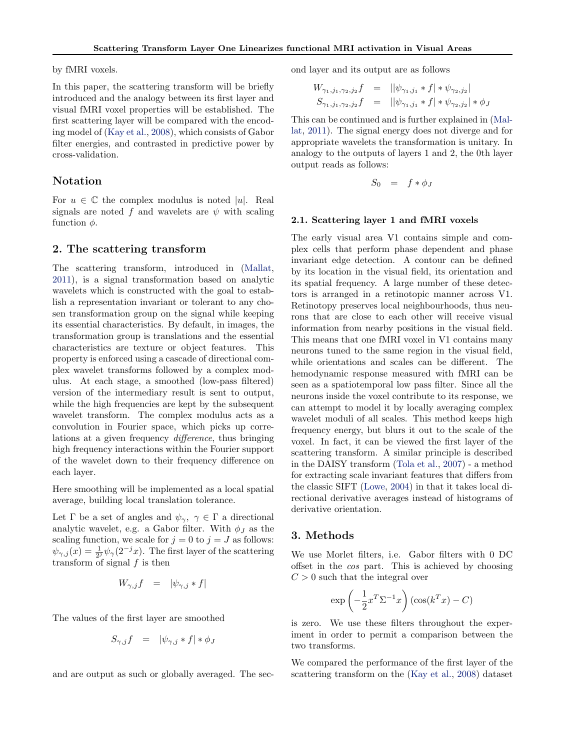by fMRI voxels.

In this paper, the scattering transform will be briefly introduced and the analogy between its first layer and visual fMRI voxel properties will be established. The first scattering layer will be compared with the encoding model of [\(Kay et al.,](#page-4-0) [2008\)](#page-4-0), which consists of Gabor filter energies, and contrasted in predictive power by cross-validation.

#### Notation

For  $u \in \mathbb{C}$  the complex modulus is noted |u|. Real signals are noted f and wavelets are  $\psi$  with scaling function  $\phi$ .

#### 2. The scattering transform

The scattering transform, introduced in [\(Mallat,](#page-4-0) [2011\)](#page-4-0), is a signal transformation based on analytic wavelets which is constructed with the goal to establish a representation invariant or tolerant to any chosen transformation group on the signal while keeping its essential characteristics. By default, in images, the transformation group is translations and the essential characteristics are texture or object features. This property is enforced using a cascade of directional complex wavelet transforms followed by a complex modulus. At each stage, a smoothed (low-pass filtered) version of the intermediary result is sent to output, while the high frequencies are kept by the subsequent wavelet transform. The complex modulus acts as a convolution in Fourier space, which picks up correlations at a given frequency difference, thus bringing high frequency interactions within the Fourier support of the wavelet down to their frequency difference on each layer.

Here smoothing will be implemented as a local spatial average, building local translation tolerance.

Let  $\Gamma$  be a set of angles and  $\psi_{\gamma}, \gamma \in \Gamma$  a directional analytic wavelet, e.g. a Gabor filter. With  $\phi_J$  as the scaling function, we scale for  $j = 0$  to  $j = J$  as follows:  $\psi_{\gamma,j}(x) = \frac{1}{2^j} \psi_{\gamma}(2^{-j}x)$ . The first layer of the scattering transform of signal  $f$  is then

$$
W_{\gamma,j}f = |\psi_{\gamma,j} * f|
$$

The values of the first layer are smoothed

$$
S_{\gamma,j}f = |\psi_{\gamma,j} * f| * \phi_j
$$

and are output as such or globally averaged. The sec-

ond layer and its output are as follows

$$
W_{\gamma_1, j_1, \gamma_2, j_2} f = ||\psi_{\gamma_1, j_1} * f| * \psi_{\gamma_2, j_2}|
$$
  

$$
S_{\gamma_1, j_1, \gamma_2, j_2} f = ||\psi_{\gamma_1, j_1} * f| * \psi_{\gamma_2, j_2}| * \phi_J
$$

This can be continued and is further explained in [\(Mal](#page-4-0)[lat,](#page-4-0) [2011\)](#page-4-0). The signal energy does not diverge and for appropriate wavelets the transformation is unitary. In analogy to the outputs of layers 1 and 2, the 0th layer output reads as follows:

$$
S_0 = f * \phi_J
$$

#### 2.1. Scattering layer 1 and fMRI voxels

The early visual area V1 contains simple and complex cells that perform phase dependent and phase invariant edge detection. A contour can be defined by its location in the visual field, its orientation and its spatial frequency. A large number of these detectors is arranged in a retinotopic manner across V1. Retinotopy preserves local neighbourhoods, thus neurons that are close to each other will receive visual information from nearby positions in the visual field. This means that one fMRI voxel in V1 contains many neurons tuned to the same region in the visual field, while orientations and scales can be different. The hemodynamic response measured with fMRI can be seen as a spatiotemporal low pass filter. Since all the neurons inside the voxel contribute to its response, we can attempt to model it by locally averaging complex wavelet moduli of all scales. This method keeps high frequency energy, but blurs it out to the scale of the voxel. In fact, it can be viewed the first layer of the scattering transform. A similar principle is described in the DAISY transform [\(Tola et al.,](#page-5-0) [2007\)](#page-5-0) - a method for extracting scale invariant features that differs from the classic SIFT [\(Lowe,](#page-4-0) [2004\)](#page-4-0) in that it takes local directional derivative averages instead of histograms of derivative orientation.

#### 3. Methods

We use Morlet filters, i.e. Gabor filters with 0 DC offset in the cos part. This is achieved by choosing  $C > 0$  such that the integral over

$$
\exp\left(-\frac{1}{2}x^T\Sigma^{-1}x\right)\left(\cos(k^Tx) - C\right)
$$

is zero. We use these filters throughout the experiment in order to permit a comparison between the two transforms.

We compared the performance of the first layer of the scattering transform on the [\(Kay et al.,](#page-4-0) [2008\)](#page-4-0) dataset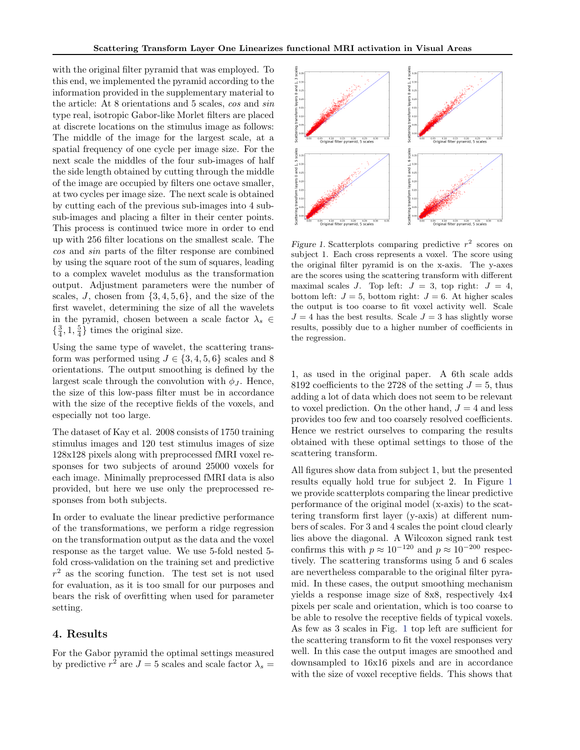with the original filter pyramid that was employed. To this end, we implemented the pyramid according to the information provided in the supplementary material to the article: At 8 orientations and 5 scales, cos and sin type real, isotropic Gabor-like Morlet filters are placed at discrete locations on the stimulus image as follows: The middle of the image for the largest scale, at a spatial frequency of one cycle per image size. For the next scale the middles of the four sub-images of half the side length obtained by cutting through the middle of the image are occupied by filters one octave smaller, at two cycles per image size. The next scale is obtained by cutting each of the previous sub-images into 4 subsub-images and placing a filter in their center points. This process is continued twice more in order to end up with 256 filter locations on the smallest scale. The cos and sin parts of the filter response are combined by using the square root of the sum of squares, leading to a complex wavelet modulus as the transformation output. Adjustment parameters were the number of scales, J, chosen from  $\{3, 4, 5, 6\}$ , and the size of the first wavelet, determining the size of all the wavelets in the pyramid, chosen between a scale factor  $\lambda_s \in$  $\{\frac{3}{4}, 1, \frac{5}{4}\}\)$  times the original size.

Using the same type of wavelet, the scattering transform was performed using  $J \in \{3, 4, 5, 6\}$  scales and 8 orientations. The output smoothing is defined by the largest scale through the convolution with  $\phi_J$ . Hence, the size of this low-pass filter must be in accordance with the size of the receptive fields of the voxels, and especially not too large.

The dataset of Kay et al. 2008 consists of 1750 training stimulus images and 120 test stimulus images of size 128x128 pixels along with preprocessed fMRI voxel responses for two subjects of around 25000 voxels for each image. Minimally preprocessed fMRI data is also provided, but here we use only the preprocessed responses from both subjects.

In order to evaluate the linear predictive performance of the transformations, we perform a ridge regression on the transformation output as the data and the voxel response as the target value. We use 5-fold nested 5 fold cross-validation on the training set and predictive  $r<sup>2</sup>$  as the scoring function. The test set is not used for evaluation, as it is too small for our purposes and bears the risk of overfitting when used for parameter setting.

#### 4. Results

For the Gabor pyramid the optimal settings measured by predictive  $r^2$  are  $J = 5$  scales and scale factor  $\lambda_s =$ 



Figure 1. Scatterplots comparing predictive  $r^2$  scores on subject 1. Each cross represents a voxel. The score using the original filter pyramid is on the x-axis. The y-axes are the scores using the scattering transform with different maximal scales J. Top left:  $J = 3$ , top right:  $J = 4$ , bottom left:  $J = 5$ , bottom right:  $J = 6$ . At higher scales the output is too coarse to fit voxel activity well. Scale  $J = 4$  has the best results. Scale  $J = 3$  has slightly worse results, possibly due to a higher number of coefficients in the regression.

1, as used in the original paper. A 6th scale adds 8192 coefficients to the 2728 of the setting  $J = 5$ , thus adding a lot of data which does not seem to be relevant to voxel prediction. On the other hand,  $J = 4$  and less provides too few and too coarsely resolved coefficients. Hence we restrict ourselves to comparing the results obtained with these optimal settings to those of the scattering transform.

All figures show data from subject 1, but the presented results equally hold true for subject 2. In Figure 1 we provide scatterplots comparing the linear predictive performance of the original model (x-axis) to the scattering transform first layer (y-axis) at different numbers of scales. For 3 and 4 scales the point cloud clearly lies above the diagonal. A Wilcoxon signed rank test confirms this with  $p \approx 10^{-120}$  and  $p \approx 10^{-200}$  respectively. The scattering transforms using 5 and 6 scales are nevertheless comparable to the original filter pyramid. In these cases, the output smoothing mechanism yields a response image size of 8x8, respectively 4x4 pixels per scale and orientation, which is too coarse to be able to resolve the receptive fields of typical voxels. As few as 3 scales in Fig. 1 top left are sufficient for the scattering transform to fit the voxel responses very well. In this case the output images are smoothed and downsampled to 16x16 pixels and are in accordance with the size of voxel receptive fields. This shows that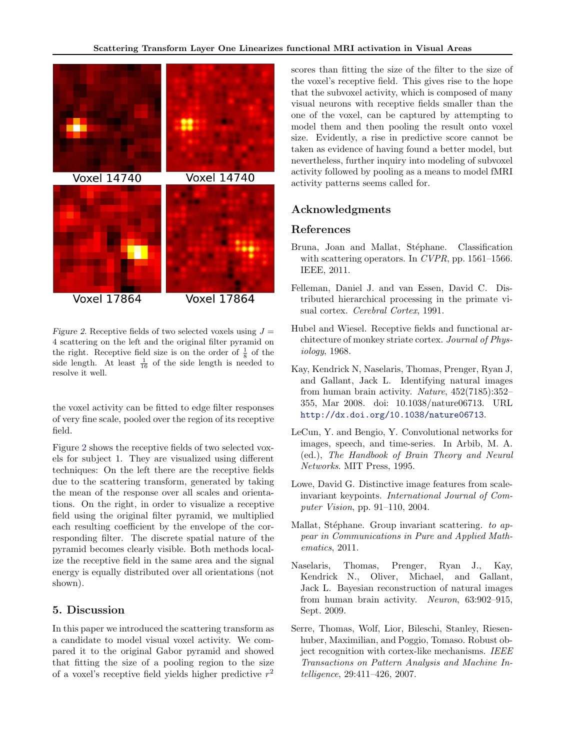<span id="page-4-0"></span>

Figure 2. Receptive fields of two selected voxels using  $J =$ 4 scattering on the left and the original filter pyramid on the right. Receptive field size is on the order of  $\frac{1}{8}$  of the side length. At least  $\frac{1}{16}$  of the side length is needed to resolve it well.

the voxel activity can be fitted to edge filter responses of very fine scale, pooled over the region of its receptive field.

Figure 2 shows the receptive fields of two selected voxels for subject 1. They are visualized using different techniques: On the left there are the receptive fields due to the scattering transform, generated by taking the mean of the response over all scales and orientations. On the right, in order to visualize a receptive field using the original filter pyramid, we multiplied each resulting coefficient by the envelope of the corresponding filter. The discrete spatial nature of the pyramid becomes clearly visible. Both methods localize the receptive field in the same area and the signal energy is equally distributed over all orientations (not shown).

### 5. Discussion

In this paper we introduced the scattering transform as a candidate to model visual voxel activity. We compared it to the original Gabor pyramid and showed that fitting the size of a pooling region to the size of a voxel's receptive field yields higher predictive  $r^2$ 

scores than fitting the size of the filter to the size of the voxel's receptive field. This gives rise to the hope that the subvoxel activity, which is composed of many visual neurons with receptive fields smaller than the one of the voxel, can be captured by attempting to model them and then pooling the result onto voxel size. Evidently, a rise in predictive score cannot be taken as evidence of having found a better model, but nevertheless, further inquiry into modeling of subvoxel activity followed by pooling as a means to model fMRI activity patterns seems called for.

## Acknowledgments

### References

- Bruna, Joan and Mallat, Stéphane. Classification with scattering operators. In CVPR, pp.  $1561-1566$ . IEEE, 2011.
- Felleman, Daniel J. and van Essen, David C. Distributed hierarchical processing in the primate visual cortex. Cerebral Cortex, 1991.
- Hubel and Wiesel. Receptive fields and functional architecture of monkey striate cortex. Journal of Physiology, 1968.
- Kay, Kendrick N, Naselaris, Thomas, Prenger, Ryan J, and Gallant, Jack L. Identifying natural images from human brain activity. Nature,  $452(7185):352-$ 355, Mar 2008. doi: 10.1038/nature06713. URL <http://dx.doi.org/10.1038/nature06713>.
- LeCun, Y. and Bengio, Y. Convolutional networks for images, speech, and time-series. In Arbib, M. A. (ed.), The Handbook of Brain Theory and Neural Networks. MIT Press, 1995.
- Lowe, David G. Distinctive image features from scaleinvariant keypoints. International Journal of Computer Vision, pp. 91–110, 2004.
- Mallat, Stéphane. Group invariant scattering. to appear in Communications in Pure and Applied Mathematics, 2011.
- Naselaris, Thomas, Prenger, Ryan J., Kay, Kendrick N., Oliver, Michael, and Gallant, Jack L. Bayesian reconstruction of natural images from human brain activity. Neuron, 63:902–915, Sept. 2009.
- Serre, Thomas, Wolf, Lior, Bileschi, Stanley, Riesenhuber, Maximilian, and Poggio, Tomaso. Robust object recognition with cortex-like mechanisms. IEEE Transactions on Pattern Analysis and Machine Intelligence, 29:411–426, 2007.